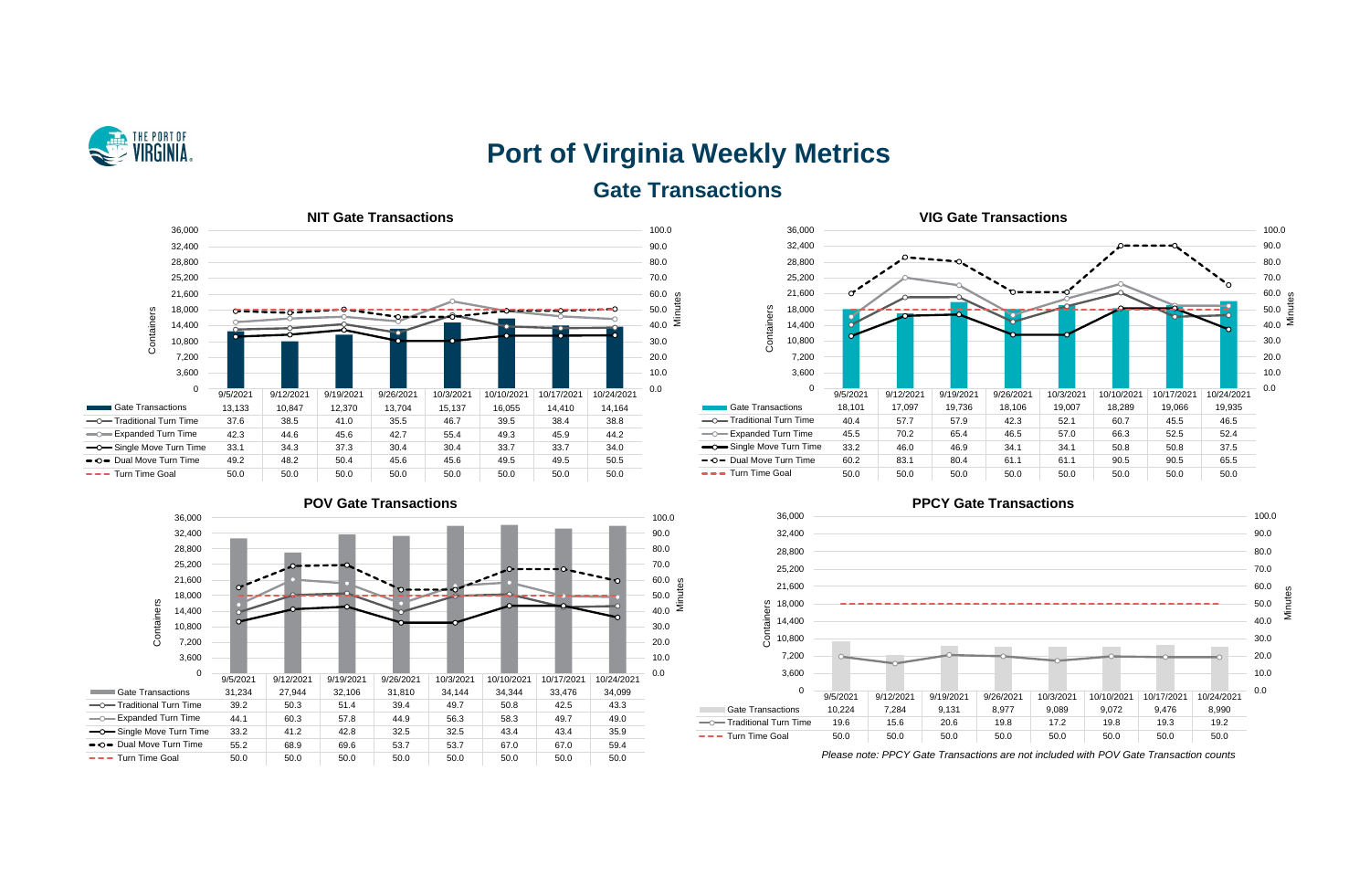

# **Port of Virginia Weekly Metrics Gate Transactions**



0 3,600 7,200 10,800 14,400 18,000 21,600 25,200 28,800 32,400 36,000

♂





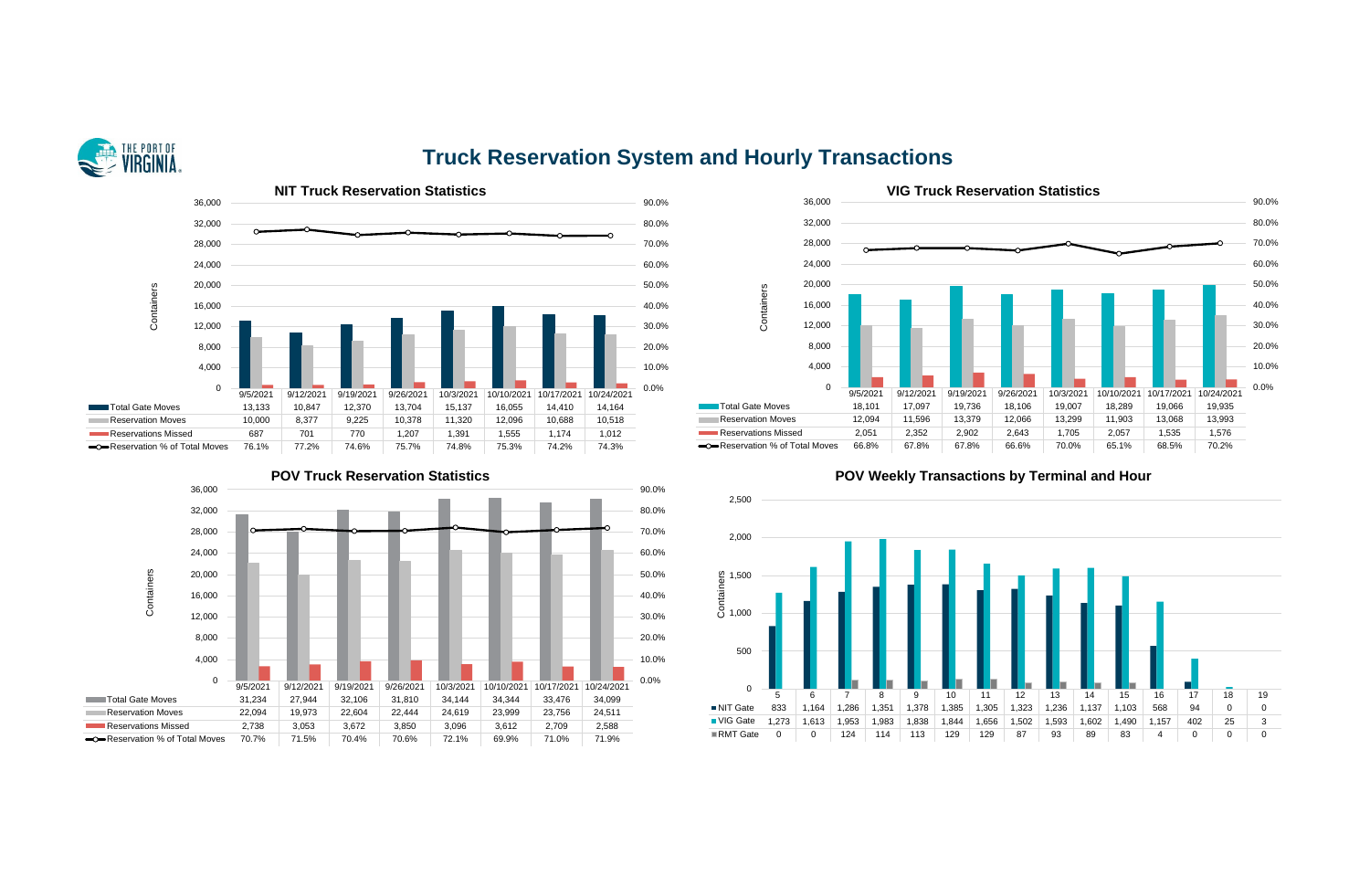## **Truck Reservation System and Hourly Transactions**







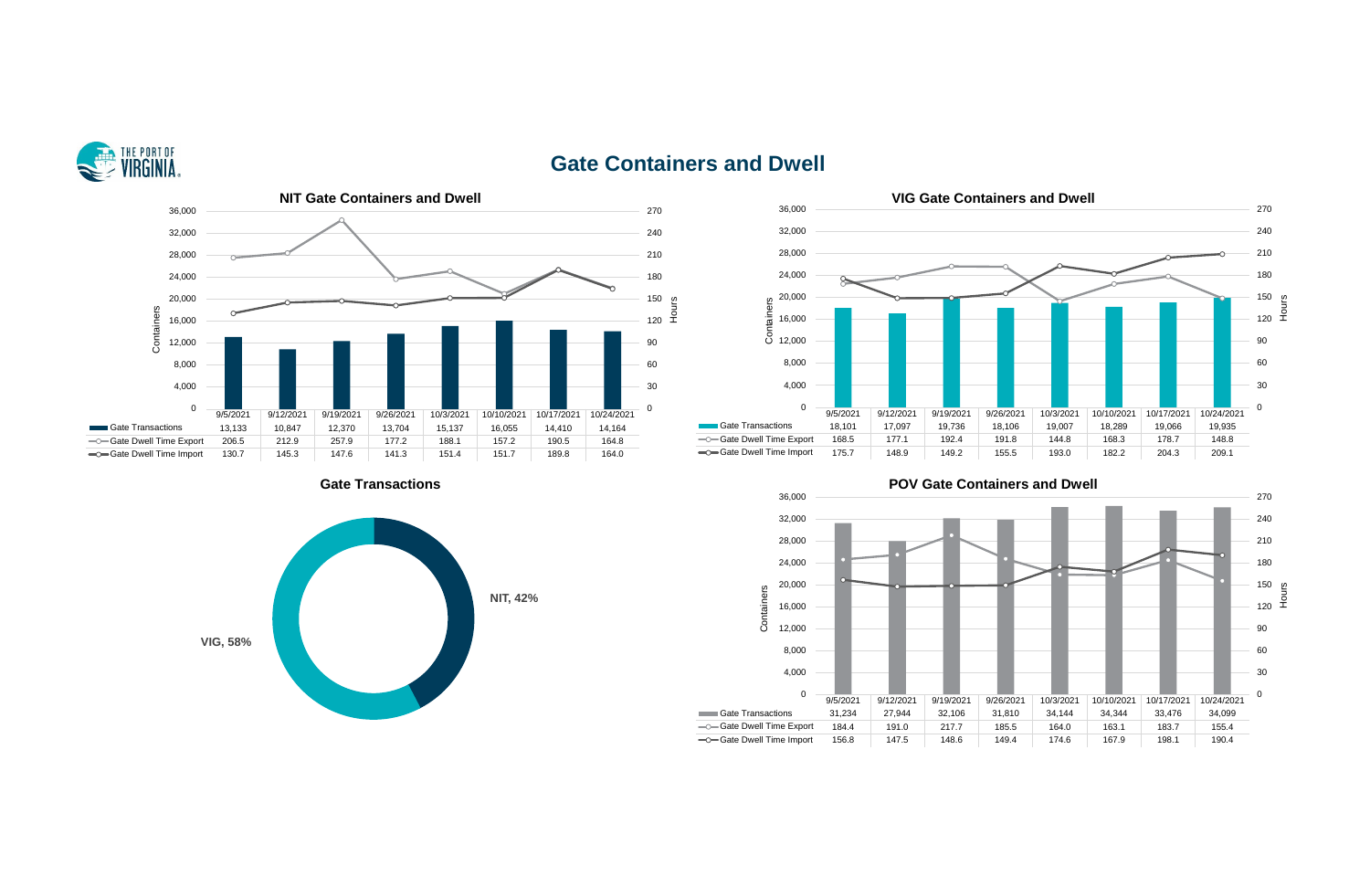